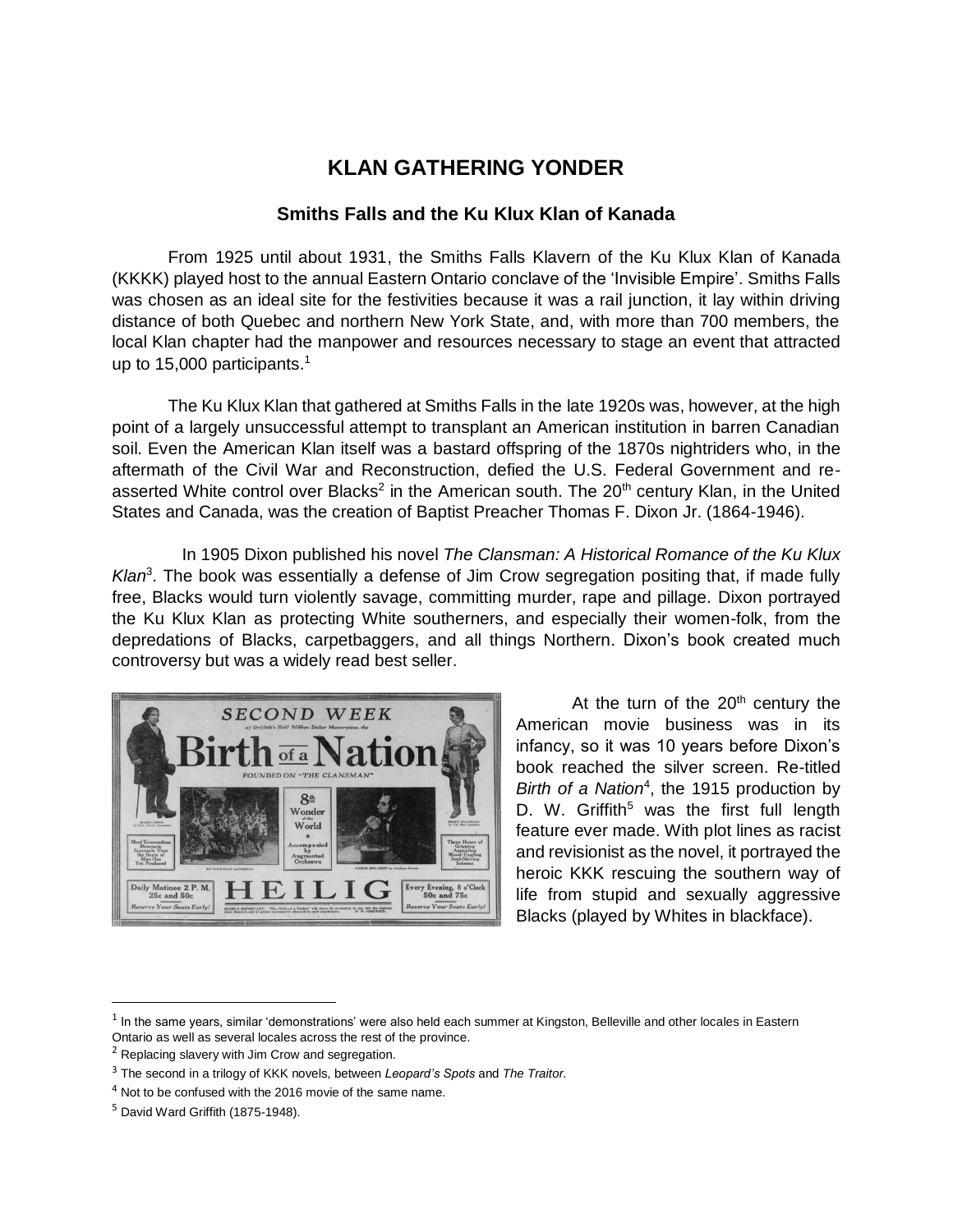## **KLAN GATHERING YONDER**

## **Smiths Falls and the Ku Klux Klan of Kanada**

From 1925 until about 1931, the Smiths Falls Klavern of the Ku Klux Klan of Kanada (KKKK) played host to the annual Eastern Ontario conclave of the 'Invisible Empire'. Smiths Falls was chosen as an ideal site for the festivities because it was a rail junction, it lay within driving distance of both Quebec and northern New York State, and, with more than 700 members, the local Klan chapter had the manpower and resources necessary to stage an event that attracted up to 15,000 participants. 1

The Ku Klux Klan that gathered at Smiths Falls in the late 1920s was, however, at the high point of a largely unsuccessful attempt to transplant an American institution in barren Canadian soil. Even the American Klan itself was a bastard offspring of the 1870s nightriders who, in the aftermath of the Civil War and Reconstruction, defied the U.S. Federal Government and reasserted White control over Blacks<sup>2</sup> in the American south. The 20<sup>th</sup> century Klan, in the United States and Canada, was the creation of Baptist Preacher Thomas F. Dixon Jr. (1864-1946).

 In 1905 Dixon published his novel *The Clansman: A Historical Romance of the Ku Klux*  Klan<sup>3</sup>. The book was essentially a defense of Jim Crow segregation positing that, if made fully free, Blacks would turn violently savage, committing murder, rape and pillage. Dixon portrayed the Ku Klux Klan as protecting White southerners, and especially their women-folk, from the depredations of Blacks, carpetbaggers, and all things Northern. Dixon's book created much controversy but was a widely read best seller.



At the turn of the  $20<sup>th</sup>$  century the American movie business was in its infancy, so it was 10 years before Dixon's book reached the silver screen. Re-titled Birth of a Nation<sup>4</sup>, the 1915 production by D. W. Griffith<sup>5</sup> was the first full length feature ever made. With plot lines as racist and revisionist as the novel, it portrayed the heroic KKK rescuing the southern way of life from stupid and sexually aggressive Blacks (played by Whites in blackface).

 $^1$  In the same years, similar 'demonstrations' were also held each summer at Kingston, Belleville and other locales in Eastern Ontario as well as several locales across the rest of the province.

 $2$  Replacing slavery with Jim Crow and segregation.

<sup>3</sup> The second in a trilogy of KKK novels, between *Leopard's Spots* and *The Traitor.*

<sup>&</sup>lt;sup>4</sup> Not to be confused with the 2016 movie of the same name.

<sup>5</sup> David Ward Griffith (1875-1948).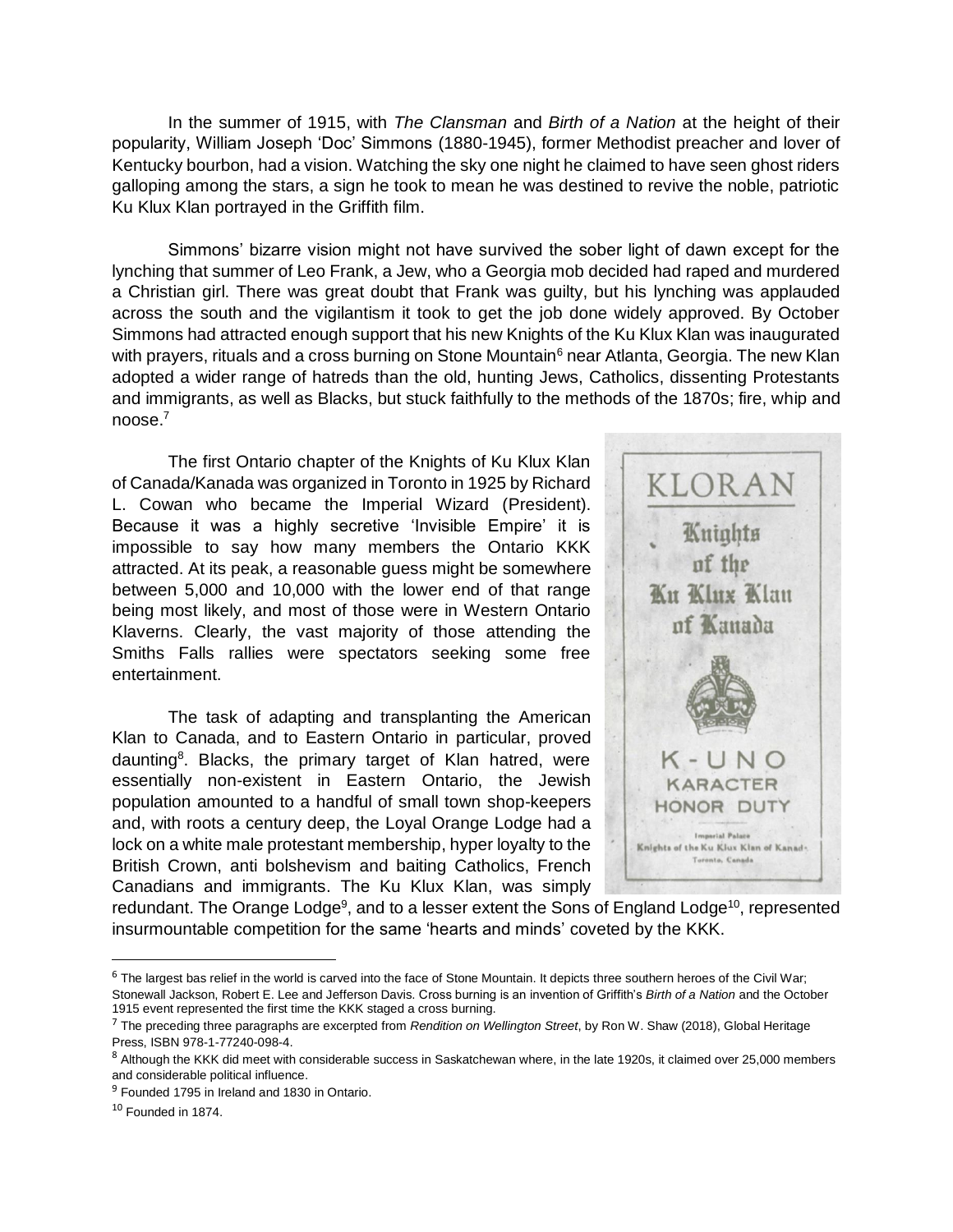In the summer of 1915, with *The Clansman* and *Birth of a Nation* at the height of their popularity, William Joseph 'Doc' Simmons (1880-1945), former Methodist preacher and lover of Kentucky bourbon, had a vision. Watching the sky one night he claimed to have seen ghost riders galloping among the stars, a sign he took to mean he was destined to revive the noble, patriotic Ku Klux Klan portrayed in the Griffith film.

Simmons' bizarre vision might not have survived the sober light of dawn except for the lynching that summer of Leo Frank, a Jew, who a Georgia mob decided had raped and murdered a Christian girl. There was great doubt that Frank was guilty, but his lynching was applauded across the south and the vigilantism it took to get the job done widely approved. By October Simmons had attracted enough support that his new Knights of the Ku Klux Klan was inaugurated with prayers, rituals and a cross burning on Stone Mountain<sup>6</sup> near Atlanta, Georgia. The new Klan adopted a wider range of hatreds than the old, hunting Jews, Catholics, dissenting Protestants and immigrants, as well as Blacks, but stuck faithfully to the methods of the 1870s; fire, whip and noose.<sup>7</sup>

The first Ontario chapter of the Knights of Ku Klux Klan of Canada/Kanada was organized in Toronto in 1925 by Richard L. Cowan who became the Imperial Wizard (President). Because it was a highly secretive 'Invisible Empire' it is impossible to say how many members the Ontario KKK attracted. At its peak, a reasonable guess might be somewhere between 5,000 and 10,000 with the lower end of that range being most likely, and most of those were in Western Ontario Klaverns. Clearly, the vast majority of those attending the Smiths Falls rallies were spectators seeking some free entertainment.

The task of adapting and transplanting the American Klan to Canada, and to Eastern Ontario in particular, proved daunting<sup>8</sup>. Blacks, the primary target of Klan hatred, were essentially non-existent in Eastern Ontario, the Jewish population amounted to a handful of small town shop-keepers and, with roots a century deep, the Loyal Orange Lodge had a lock on a white male protestant membership, hyper loyalty to the British Crown, anti bolshevism and baiting Catholics, French Canadians and immigrants. The Ku Klux Klan, was simply



redundant. The Orange Lodge<sup>9</sup>, and to a lesser extent the Sons of England Lodge<sup>10</sup>, represented insurmountable competition for the same 'hearts and minds' coveted by the KKK.

 $6$  The largest bas relief in the world is carved into the face of Stone Mountain. It depicts three southern heroes of the Civil War; Stonewall Jackson, Robert E. Lee and Jefferson Davis. Cross burning is an invention of Griffith's *Birth of a Nation* and the October 1915 event represented the first time the KKK staged a cross burning.

<sup>7</sup> The preceding three paragraphs are excerpted from *Rendition on Wellington Street*, by Ron W. Shaw (2018), Global Heritage Press, ISBN 978-1-77240-098-4.

<sup>&</sup>lt;sup>8</sup> Although the KKK did meet with considerable success in Saskatchewan where, in the late 1920s, it claimed over 25,000 members and considerable political influence.

<sup>&</sup>lt;sup>9</sup> Founded 1795 in Ireland and 1830 in Ontario.

 $10$  Founded in 1874.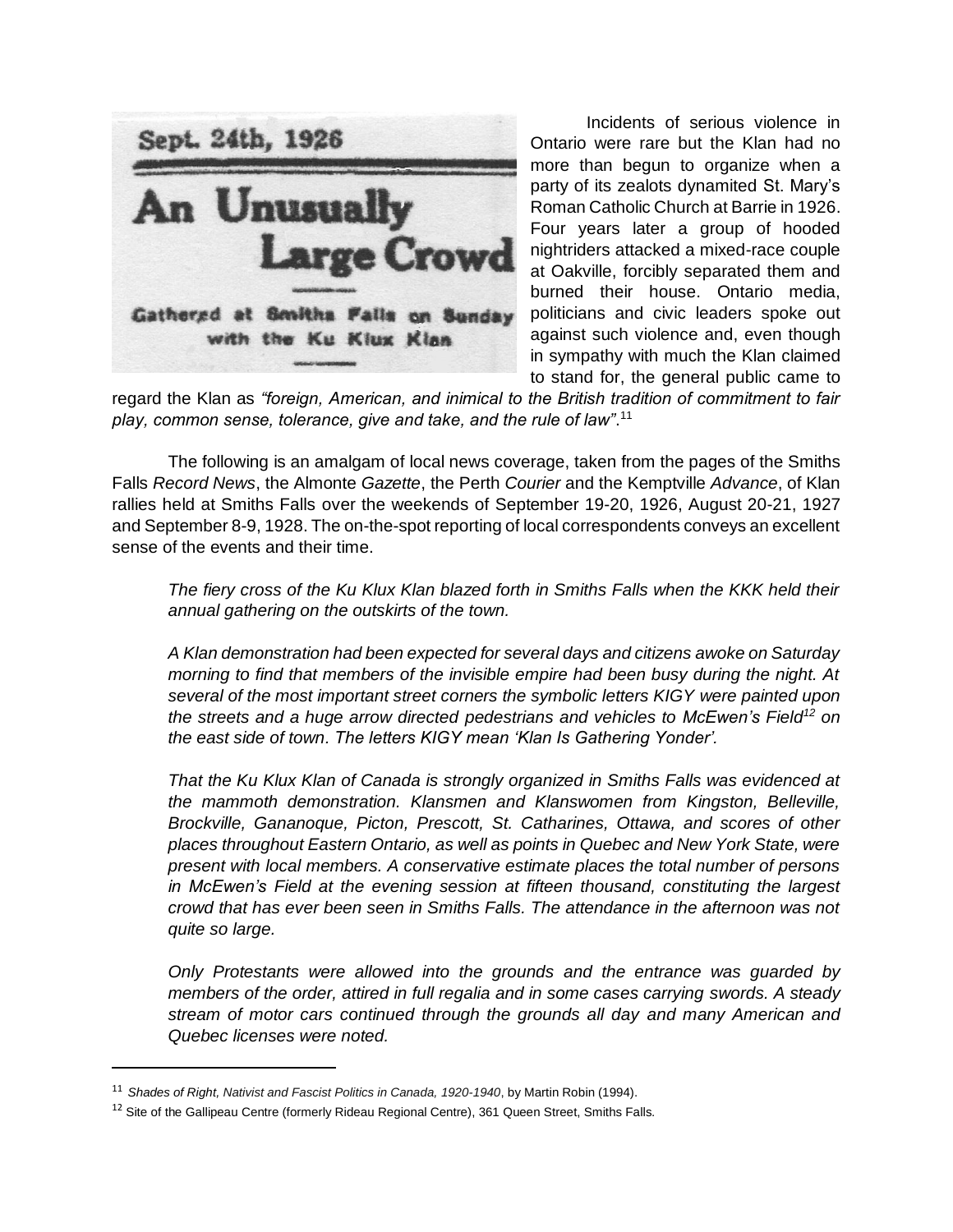

Incidents of serious violence in Ontario were rare but the Klan had no more than begun to organize when a party of its zealots dynamited St. Mary's Roman Catholic Church at Barrie in 1926. Four years later a group of hooded nightriders attacked a mixed-race couple at Oakville, forcibly separated them and burned their house. Ontario media, politicians and civic leaders spoke out against such violence and, even though in sympathy with much the Klan claimed to stand for, the general public came to

regard the Klan as *"foreign, American, and inimical to the British tradition of commitment to fair play, common sense, tolerance, give and take, and the rule of law"*. 11

The following is an amalgam of local news coverage, taken from the pages of the Smiths Falls *Record News*, the Almonte *Gazette*, the Perth *Courier* and the Kemptville *Advance*, of Klan rallies held at Smiths Falls over the weekends of September 19-20, 1926, August 20-21, 1927 and September 8-9, 1928. The on-the-spot reporting of local correspondents conveys an excellent sense of the events and their time.

*The fiery cross of the Ku Klux Klan blazed forth in Smiths Falls when the KKK held their annual gathering on the outskirts of the town.* 

*A Klan demonstration had been expected for several days and citizens awoke on Saturday morning to find that members of the invisible empire had been busy during the night. At several of the most important street corners the symbolic letters KIGY were painted upon the streets and a huge arrow directed pedestrians and vehicles to McEwen's Field<sup>12</sup> on the east side of town. The letters KIGY mean 'Klan Is Gathering Yonder'.*

*That the Ku Klux Klan of Canada is strongly organized in Smiths Falls was evidenced at the mammoth demonstration. Klansmen and Klanswomen from Kingston, Belleville, Brockville, Gananoque, Picton, Prescott, St. Catharines, Ottawa, and scores of other places throughout Eastern Ontario, as well as points in Quebec and New York State, were present with local members. A conservative estimate places the total number of persons in McEwen's Field at the evening session at fifteen thousand, constituting the largest crowd that has ever been seen in Smiths Falls. The attendance in the afternoon was not quite so large.*

*Only Protestants were allowed into the grounds and the entrance was guarded by members of the order, attired in full regalia and in some cases carrying swords. A steady stream of motor cars continued through the grounds all day and many American and Quebec licenses were noted.* 

l

<sup>11</sup> *Shades of Right, Nativist and Fascist Politics in Canada, 1920-1940*, by Martin Robin (1994).

<sup>&</sup>lt;sup>12</sup> Site of the Gallipeau Centre (formerly Rideau Regional Centre), 361 Queen Street, Smiths Falls.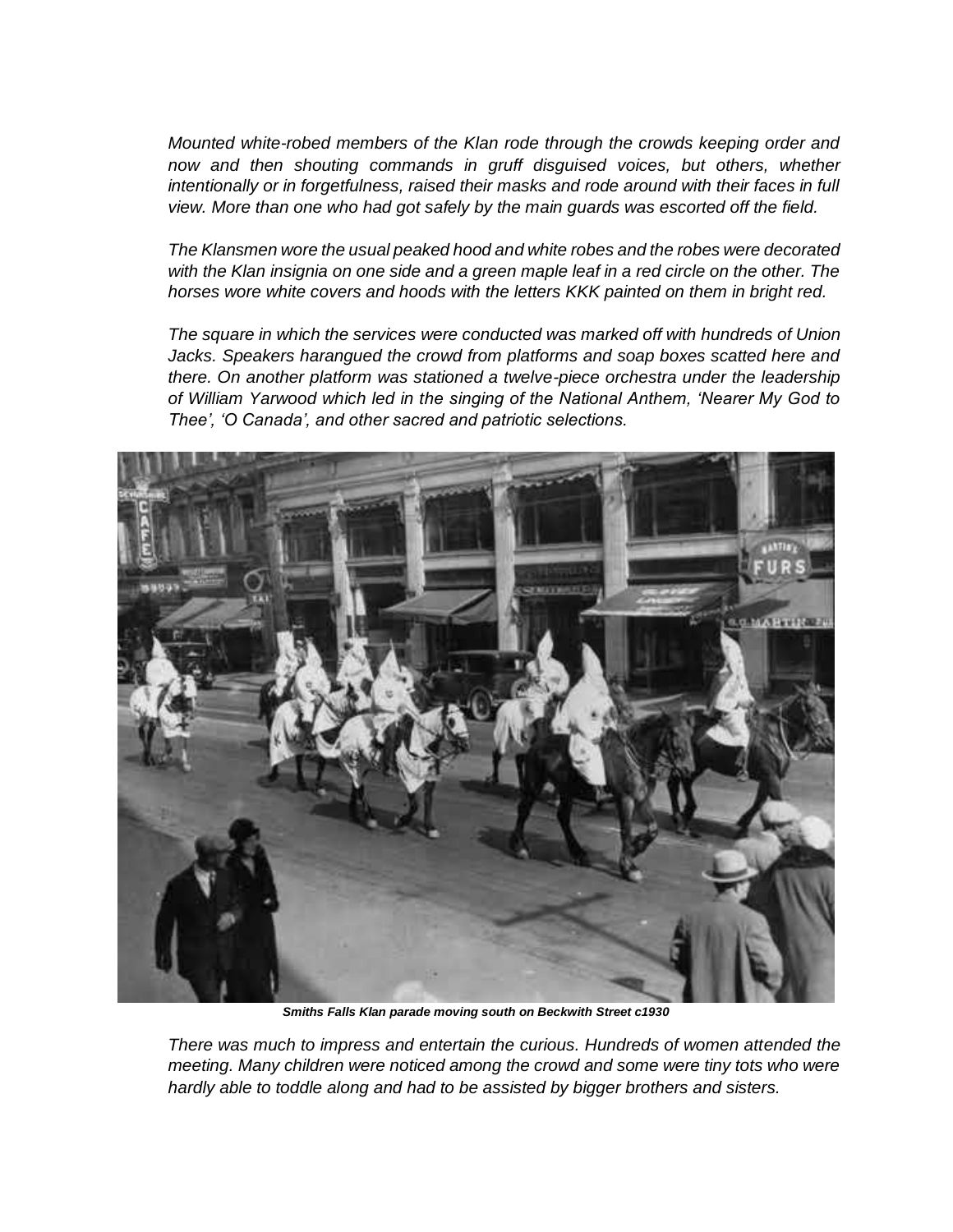*Mounted white-robed members of the Klan rode through the crowds keeping order and*  now and then shouting commands in gruff disguised voices, but others, whether *intentionally or in forgetfulness, raised their masks and rode around with their faces in full view. More than one who had got safely by the main guards was escorted off the field.*

*The Klansmen wore the usual peaked hood and white robes and the robes were decorated with the Klan insignia on one side and a green maple leaf in a red circle on the other. The horses wore white covers and hoods with the letters KKK painted on them in bright red.*

*The square in which the services were conducted was marked off with hundreds of Union Jacks. Speakers harangued the crowd from platforms and soap boxes scatted here and there. On another platform was stationed a twelve-piece orchestra under the leadership of William Yarwood which led in the singing of the National Anthem, 'Nearer My God to Thee', 'O Canada', and other sacred and patriotic selections.* 



*Smiths Falls Klan parade moving south on Beckwith Street c1930*

*There was much to impress and entertain the curious. Hundreds of women attended the meeting. Many children were noticed among the crowd and some were tiny tots who were hardly able to toddle along and had to be assisted by bigger brothers and sisters.*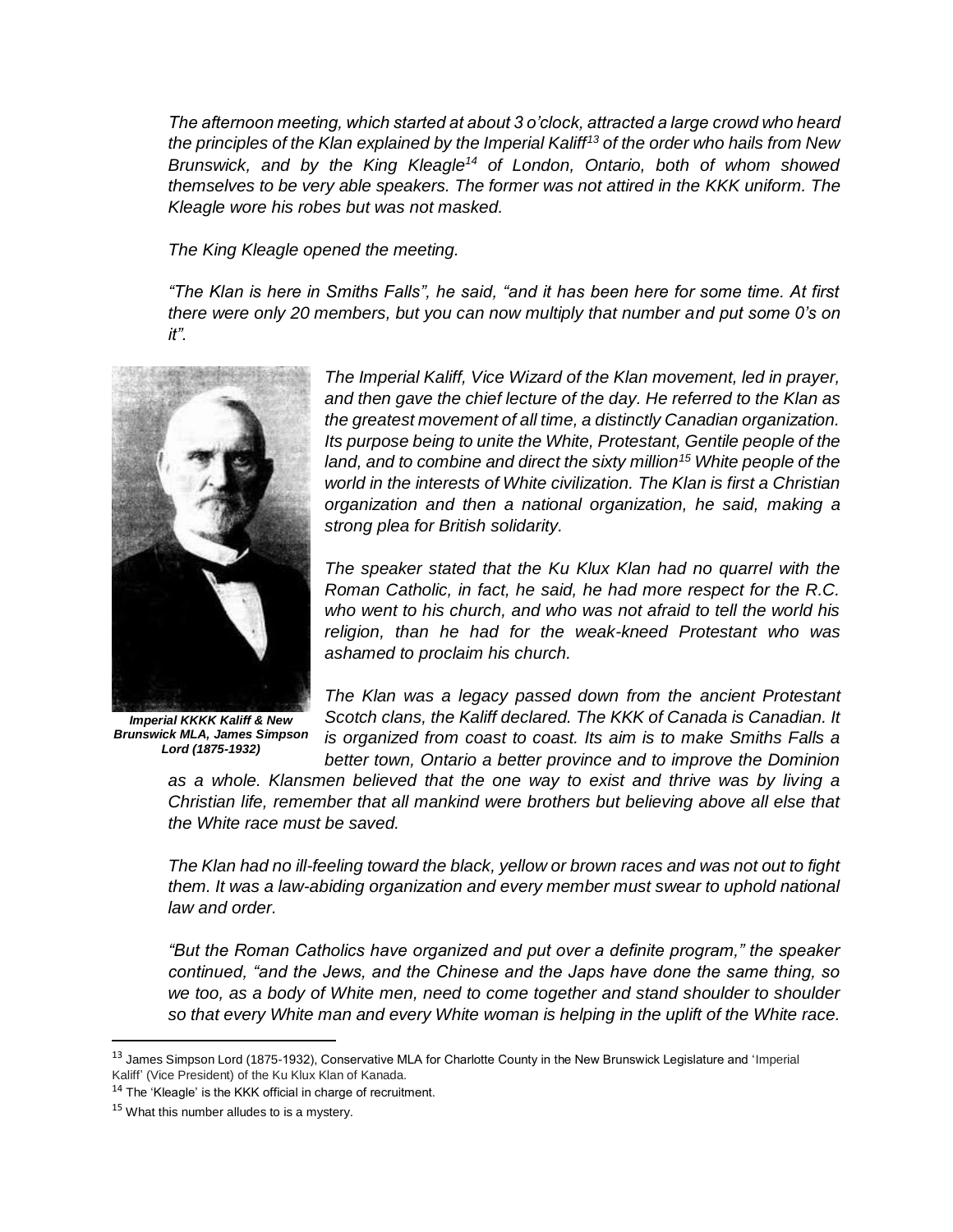*The afternoon meeting, which started at about 3 o'clock, attracted a large crowd who heard the principles of the Klan explained by the Imperial Kaliff<sup>13</sup> of the order who hails from New Brunswick, and by the King Kleagle<sup>14</sup> of London, Ontario, both of whom showed themselves to be very able speakers. The former was not attired in the KKK uniform. The Kleagle wore his robes but was not masked.*

*The King Kleagle opened the meeting.*

*"The Klan is here in Smiths Falls", he said, "and it has been here for some time. At first there were only 20 members, but you can now multiply that number and put some 0's on it".*



*Imperial KKKK Kaliff & New Brunswick MLA, James Simpson Lord (1875-1932)*

*The Imperial Kaliff, Vice Wizard of the Klan movement, led in prayer, and then gave the chief lecture of the day. He referred to the Klan as the greatest movement of all time, a distinctly Canadian organization. Its purpose being to unite the White, Protestant, Gentile people of the land, and to combine and direct the sixty million<sup>15</sup> White people of the world in the interests of White civilization. The Klan is first a Christian organization and then a national organization, he said, making a strong plea for British solidarity.*

*The speaker stated that the Ku Klux Klan had no quarrel with the Roman Catholic, in fact, he said, he had more respect for the R.C. who went to his church, and who was not afraid to tell the world his religion, than he had for the weak-kneed Protestant who was ashamed to proclaim his church.*

*The Klan was a legacy passed down from the ancient Protestant Scotch clans, the Kaliff declared. The KKK of Canada is Canadian. It is organized from coast to coast. Its aim is to make Smiths Falls a better town, Ontario a better province and to improve the Dominion* 

*as a whole. Klansmen believed that the one way to exist and thrive was by living a Christian life, remember that all mankind were brothers but believing above all else that the White race must be saved.*

*The Klan had no ill-feeling toward the black, yellow or brown races and was not out to fight them. It was a law-abiding organization and every member must swear to uphold national law and order.* 

*"But the Roman Catholics have organized and put over a definite program," the speaker continued, "and the Jews, and the Chinese and the Japs have done the same thing, so*  we too, as a body of White men, need to come together and stand shoulder to shoulder *so that every White man and every White woman is helping in the uplift of the White race.* 

<sup>&</sup>lt;sup>13</sup> James Simpson Lord (1875-1932), Conservative MLA for Charlotte County in the New Brunswick Legislature and 'Imperial Kaliff' (Vice President) of the Ku Klux Klan of Kanada.

<sup>&</sup>lt;sup>14</sup> The 'Kleagle' is the KKK official in charge of recruitment.

<sup>&</sup>lt;sup>15</sup> What this number alludes to is a mystery.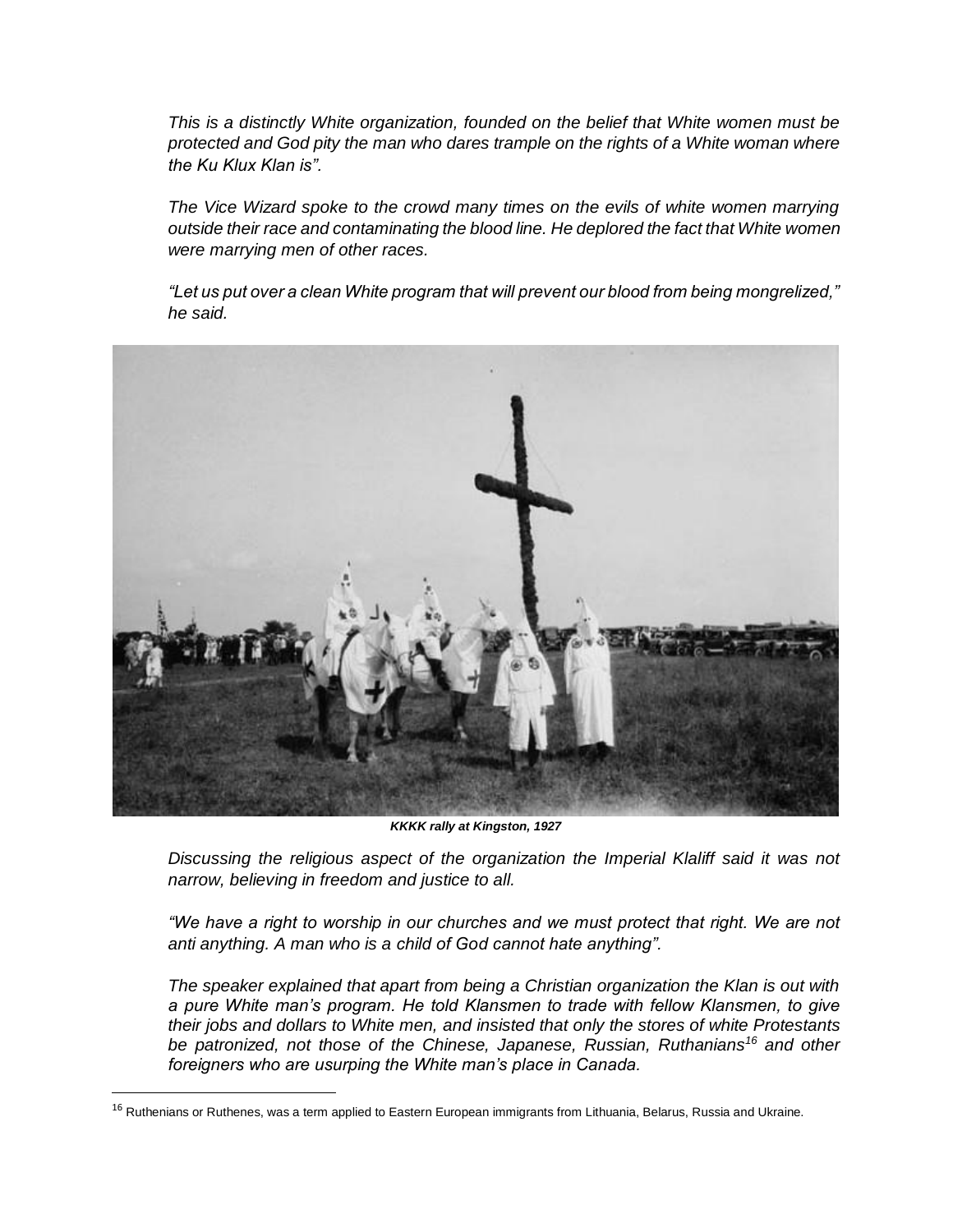*This is a distinctly White organization, founded on the belief that White women must be protected and God pity the man who dares trample on the rights of a White woman where the Ku Klux Klan is".*

*The Vice Wizard spoke to the crowd many times on the evils of white women marrying outside their race and contaminating the blood line. He deplored the fact that White women were marrying men of other races.* 

*"Let us put over a clean White program that will prevent our blood from being mongrelized," he said.*



*KKKK rally at Kingston, 1927*

*Discussing the religious aspect of the organization the Imperial Klaliff said it was not narrow, believing in freedom and justice to all.* 

*"We have a right to worship in our churches and we must protect that right. We are not anti anything. A man who is a child of God cannot hate anything".*

*The speaker explained that apart from being a Christian organization the Klan is out with a pure White man's program. He told Klansmen to trade with fellow Klansmen, to give their jobs and dollars to White men, and insisted that only the stores of white Protestants be patronized, not those of the Chinese, Japanese, Russian, Ruthanians<sup>16</sup> and other foreigners who are usurping the White man's place in Canada.*

l

<sup>&</sup>lt;sup>16</sup> Ruthenians or Ruthenes, was a term applied to Eastern European immigrants from Lithuania, Belarus, Russia and Ukraine.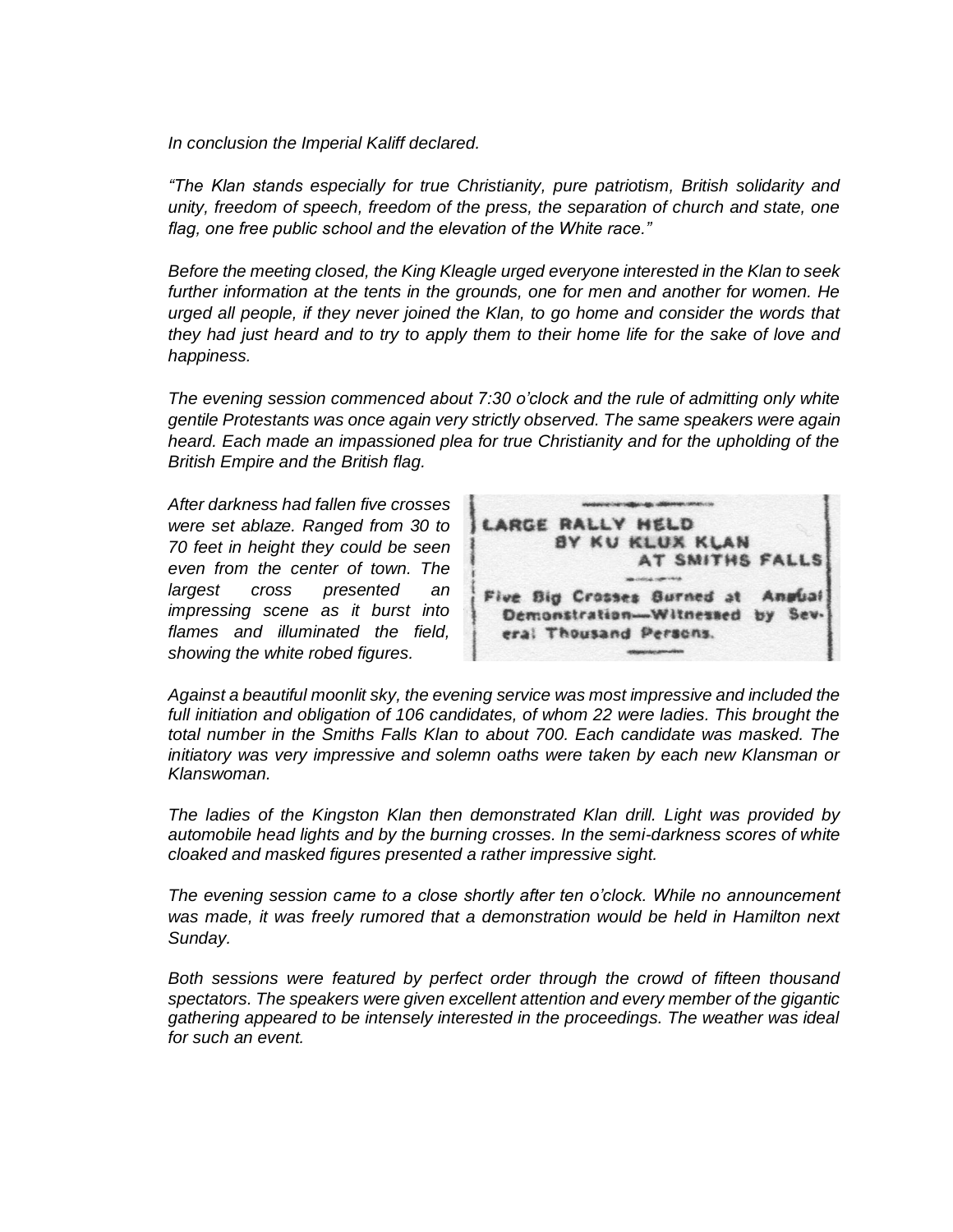*In conclusion the Imperial Kaliff declared.*

*"The Klan stands especially for true Christianity, pure patriotism, British solidarity and unity, freedom of speech, freedom of the press, the separation of church and state, one flag, one free public school and the elevation of the White race."*

*Before the meeting closed, the King Kleagle urged everyone interested in the Klan to seek further information at the tents in the grounds, one for men and another for women. He urged all people, if they never joined the Klan, to go home and consider the words that they had just heard and to try to apply them to their home life for the sake of love and happiness.*

*The evening session commenced about 7:30 o'clock and the rule of admitting only white gentile Protestants was once again very strictly observed. The same speakers were again heard. Each made an impassioned plea for true Christianity and for the upholding of the British Empire and the British flag.*

*After darkness had fallen five crosses were set ablaze. Ranged from 30 to 70 feet in height they could be seen even from the center of town. The largest cross presented an impressing scene as it burst into flames and illuminated the field, showing the white robed figures.*



*Against a beautiful moonlit sky, the evening service was most impressive and included the*  full initiation and obligation of 106 candidates, of whom 22 were ladies. This brought the *total number in the Smiths Falls Klan to about 700. Each candidate was masked. The initiatory was very impressive and solemn oaths were taken by each new Klansman or Klanswoman.*

*The ladies of the Kingston Klan then demonstrated Klan drill. Light was provided by automobile head lights and by the burning crosses. In the semi-darkness scores of white cloaked and masked figures presented a rather impressive sight.* 

*The evening session came to a close shortly after ten o'clock. While no announcement was made, it was freely rumored that a demonstration would be held in Hamilton next Sunday.*

*Both sessions were featured by perfect order through the crowd of fifteen thousand spectators. The speakers were given excellent attention and every member of the gigantic gathering appeared to be intensely interested in the proceedings. The weather was ideal for such an event.*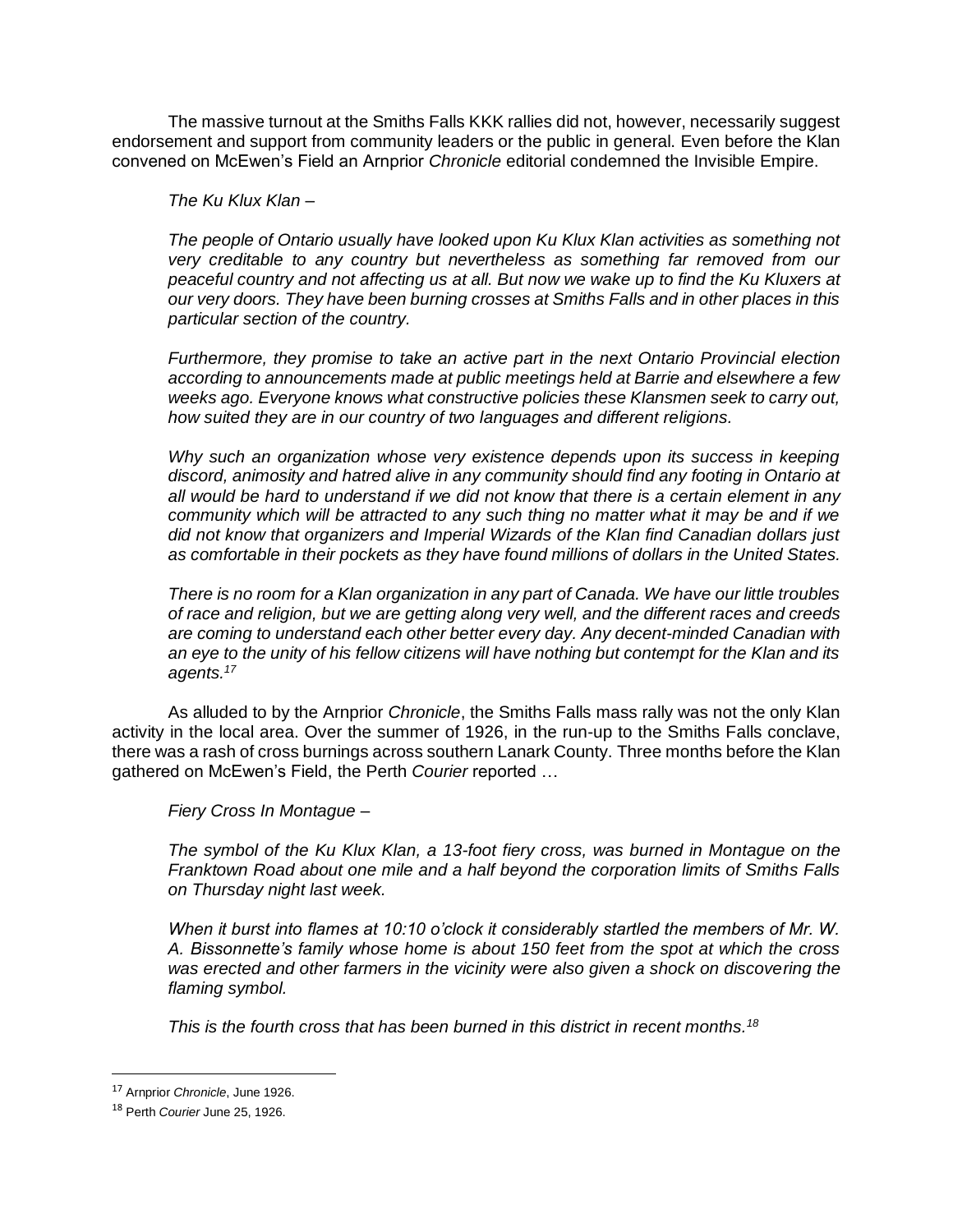The massive turnout at the Smiths Falls KKK rallies did not, however, necessarily suggest endorsement and support from community leaders or the public in general. Even before the Klan convened on McEwen's Field an Arnprior *Chronicle* editorial condemned the Invisible Empire.

*The Ku Klux Klan –*

*The people of Ontario usually have looked upon Ku Klux Klan activities as something not very creditable to any country but nevertheless as something far removed from our peaceful country and not affecting us at all. But now we wake up to find the Ku Kluxers at our very doors. They have been burning crosses at Smiths Falls and in other places in this particular section of the country.* 

*Furthermore, they promise to take an active part in the next Ontario Provincial election according to announcements made at public meetings held at Barrie and elsewhere a few weeks ago. Everyone knows what constructive policies these Klansmen seek to carry out, how suited they are in our country of two languages and different religions.* 

*Why such an organization whose very existence depends upon its success in keeping discord, animosity and hatred alive in any community should find any footing in Ontario at all would be hard to understand if we did not know that there is a certain element in any community which will be attracted to any such thing no matter what it may be and if we did not know that organizers and Imperial Wizards of the Klan find Canadian dollars just as comfortable in their pockets as they have found millions of dollars in the United States.* 

*There is no room for a Klan organization in any part of Canada. We have our little troubles of race and religion, but we are getting along very well, and the different races and creeds are coming to understand each other better every day. Any decent-minded Canadian with an eye to the unity of his fellow citizens will have nothing but contempt for the Klan and its agents.<sup>17</sup>*

As alluded to by the Arnprior *Chronicle*, the Smiths Falls mass rally was not the only Klan activity in the local area. Over the summer of 1926, in the run-up to the Smiths Falls conclave, there was a rash of cross burnings across southern Lanark County. Three months before the Klan gathered on McEwen's Field, the Perth *Courier* reported …

*Fiery Cross In Montague –*

*The symbol of the Ku Klux Klan, a 13-foot fiery cross, was burned in Montague on the Franktown Road about one mile and a half beyond the corporation limits of Smiths Falls on Thursday night last week.* 

*When it burst into flames at 10:10 o'clock it considerably startled the members of Mr. W. A. Bissonnette's family whose home is about 150 feet from the spot at which the cross was erected and other farmers in the vicinity were also given a shock on discovering the flaming symbol.* 

*This is the fourth cross that has been burned in this district in recent months.<sup>18</sup>*

<sup>17</sup> Arnprior *Chronicle*, June 1926.

<sup>18</sup> Perth *Courier* June 25, 1926.